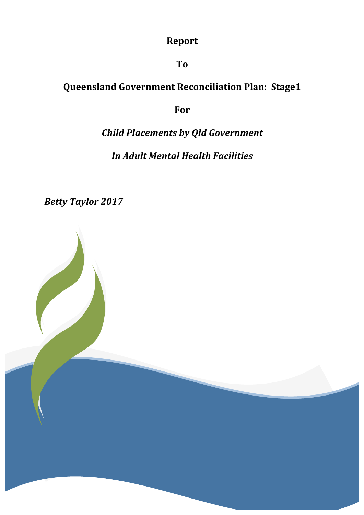# **Report**

## **To**

# **Queensland Government Reconciliation Plan: Stage1**

## **For**

# *Child Placements by Qld Government*

## *In Adult Mental Health Facilities*

Betty Taylor 2017

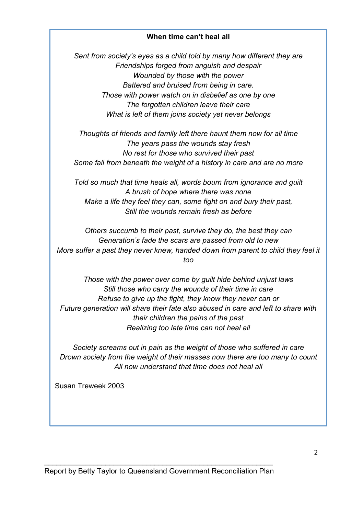#### **When time can't heal all**

*Sent from society's eyes as a child told by many how different they are Friendships forged from anguish and despair Wounded by those with the power Battered and bruised from being in care. Those with power watch on in disbelief as one by one The forgotten children leave their care What is left of them joins society yet never belongs*

*Thoughts of friends and family left there haunt them now for all time The years pass the wounds stay fresh No rest for those who survived their past Some fall from beneath the weight of a history in care and are no more*

*Told so much that time heals all, words bourn from ignorance and guilt A brush of hope where there was none Make a life they feel they can, some fight on and bury their past, Still the wounds remain fresh as before*

*Others succumb to their past, survive they do, the best they can Generation's fade the scars are passed from old to new More suffer a past they never knew, handed down from parent to child they feel it too*

*Those with the power over come by guilt hide behind unjust laws Still those who carry the wounds of their time in care Refuse to give up the fight, they know they never can or Future generation will share their fate also abused in care and left to share with their children the pains of the past Realizing too late time can not heal all*

*Society screams out in pain as the weight of those who suffered in care Drown society from the weight of their masses now there are too many to count All now understand that time does not heal all*

Susan Treweek 2003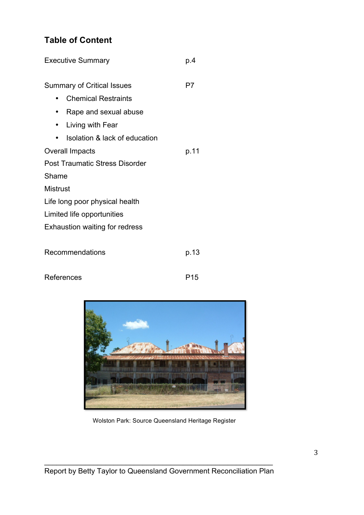## **Table of Content**

| <b>Executive Summary</b>              | p.4  |
|---------------------------------------|------|
| <b>Summary of Critical Issues</b>     | P7   |
| <b>Chemical Restraints</b><br>٠       |      |
| Rape and sexual abuse<br>٠            |      |
| Living with Fear<br>٠                 |      |
| Isolation & lack of education         |      |
| <b>Overall Impacts</b>                | p.11 |
| <b>Post Traumatic Stress Disorder</b> |      |
| Shame                                 |      |
| <b>Mistrust</b>                       |      |
| Life long poor physical health        |      |
| Limited life opportunities            |      |
| <b>Exhaustion waiting for redress</b> |      |
|                                       |      |
| Recommendations                       | p.13 |
|                                       |      |
| References                            | P15  |



Wolston Park: Source Queensland Heritage Register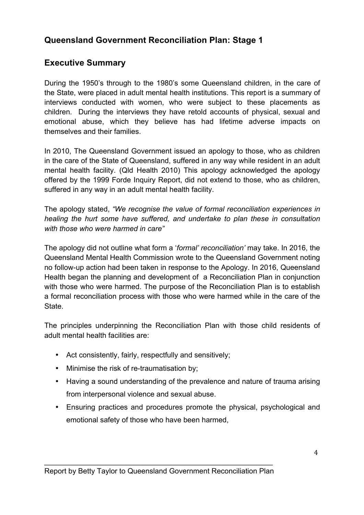## **Queensland Government Reconciliation Plan: Stage 1**

## **Executive Summary**

During the 1950's through to the 1980's some Queensland children, in the care of the State, were placed in adult mental health institutions. This report is a summary of interviews conducted with women, who were subject to these placements as children. During the interviews they have retold accounts of physical, sexual and emotional abuse, which they believe has had lifetime adverse impacts on themselves and their families.

In 2010, The Queensland Government issued an apology to those, who as children in the care of the State of Queensland, suffered in any way while resident in an adult mental health facility. (Qld Health 2010) This apology acknowledged the apology offered by the 1999 Forde Inquiry Report, did not extend to those, who as children, suffered in any way in an adult mental health facility.

The apology stated, *"We recognise the value of formal reconciliation experiences in healing the hurt some have suffered, and undertake to plan these in consultation with those who were harmed in care"*

The apology did not outline what form a '*formal' reconciliation'* may take. In 2016, the Queensland Mental Health Commission wrote to the Queensland Government noting no follow-up action had been taken in response to the Apology. In 2016, Queensland Health began the planning and development of a Reconciliation Plan in conjunction with those who were harmed. The purpose of the Reconciliation Plan is to establish a formal reconciliation process with those who were harmed while in the care of the **State** 

The principles underpinning the Reconciliation Plan with those child residents of adult mental health facilities are:

- Act consistently, fairly, respectfully and sensitively;
- Minimise the risk of re-traumatisation by;
- Having a sound understanding of the prevalence and nature of trauma arising from interpersonal violence and sexual abuse.
- Ensuring practices and procedures promote the physical, psychological and emotional safety of those who have been harmed,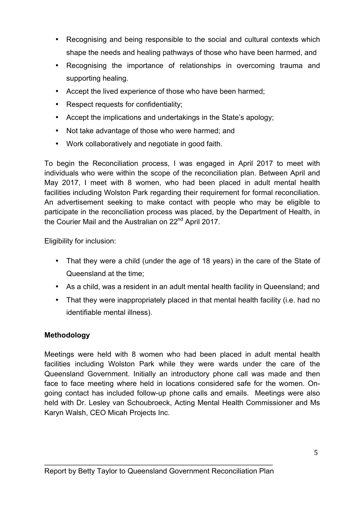- Recognising and being responsible to the social and cultural contexts which shape the needs and healing pathways of those who have been harmed, and
- Recognising the importance of relationships in overcoming trauma and supporting healing.
- Accept the lived experience of those who have been harmed;
- Respect requests for confidentiality;
- Accept the implications and undertakings in the State's apology;
- Not take advantage of those who were harmed; and
- Work collaboratively and negotiate in good faith.

To begin the Reconciliation process, I was engaged in April 2017 to meet with individuals who were within the scope of the reconciliation plan. Between April and May 2017, I meet with 8 women, who had been placed in adult mental health facilities including Wolston Park regarding their requirement for formal reconciliation. An advertisement seeking to make contact with people who may be eligible to participate in the reconciliation process was placed, by the Department of Health, in the Courier Mail and the Australian on 22<sup>nd</sup> April 2017.

Eligibility for inclusion:

- That they were a child (under the age of 18 years) in the care of the State of Queensland at the time;
- As a child, was a resident in an adult mental health facility in Queensland; and
- That they were inappropriately placed in that mental health facility (i.e. had no identifiable mental illness).

#### **Methodology**

Meetings were held with 8 women who had been placed in adult mental health facilities including Wolston Park while they were wards under the care of the Queensland Government. Initially an introductory phone call was made and then face to face meeting where held in locations considered safe for the women. Ongoing contact has included follow-up phone calls and emails. Meetings were also held with Dr. Lesley van Schoubroeck, Acting Mental Health Commissioner and Ms Karyn Walsh, CEO Micah Projects Inc.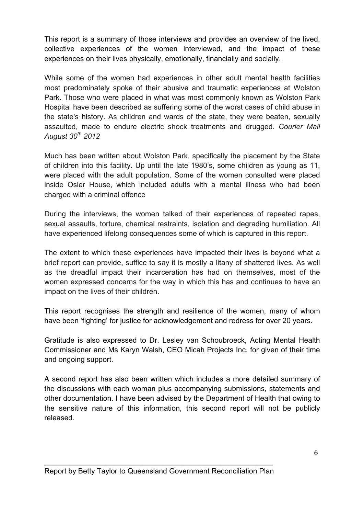This report is a summary of those interviews and provides an overview of the lived, collective experiences of the women interviewed, and the impact of these experiences on their lives physically, emotionally, financially and socially.

While some of the women had experiences in other adult mental health facilities most predominately spoke of their abusive and traumatic experiences at Wolston Park. Those who were placed in what was most commonly known as Wolston Park Hospital have been described as suffering some of the worst cases of child abuse in the state's history. As children and wards of the state, they were beaten, sexually assaulted, made to endure electric shock treatments and drugged. *Courier Mail August 30th 2012*

Much has been written about Wolston Park, specifically the placement by the State of children into this facility. Up until the late 1980's, some children as young as 11, were placed with the adult population. Some of the women consulted were placed inside Osler House, which included adults with a mental illness who had been charged with a criminal offence

During the interviews, the women talked of their experiences of repeated rapes, sexual assaults, torture, chemical restraints, isolation and degrading humiliation. All have experienced lifelong consequences some of which is captured in this report.

The extent to which these experiences have impacted their lives is beyond what a brief report can provide, suffice to say it is mostly a litany of shattered lives. As well as the dreadful impact their incarceration has had on themselves, most of the women expressed concerns for the way in which this has and continues to have an impact on the lives of their children.

This report recognises the strength and resilience of the women, many of whom have been 'fighting' for justice for acknowledgement and redress for over 20 years.

Gratitude is also expressed to Dr. Lesley van Schoubroeck, Acting Mental Health Commissioner and Ms Karyn Walsh, CEO Micah Projects Inc. for given of their time and ongoing support.

A second report has also been written which includes a more detailed summary of the discussions with each woman plus accompanying submissions, statements and other documentation. I have been advised by the Department of Health that owing to the sensitive nature of this information, this second report will not be publicly released.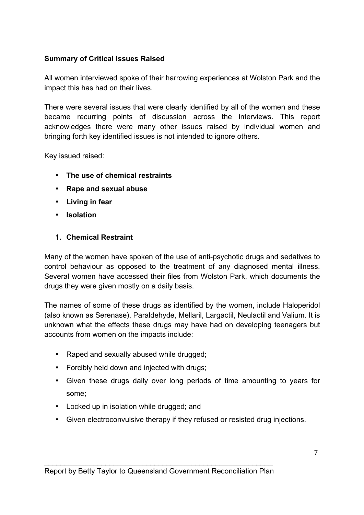#### **Summary of Critical Issues Raised**

All women interviewed spoke of their harrowing experiences at Wolston Park and the impact this has had on their lives.

There were several issues that were clearly identified by all of the women and these became recurring points of discussion across the interviews. This report acknowledges there were many other issues raised by individual women and bringing forth key identified issues is not intended to ignore others.

Key issued raised:

- **The use of chemical restraints**
- **Rape and sexual abuse**
- **Living in fear**
- **Isolation**

#### **1. Chemical Restraint**

Many of the women have spoken of the use of anti-psychotic drugs and sedatives to control behaviour as opposed to the treatment of any diagnosed mental illness. Several women have accessed their files from Wolston Park, which documents the drugs they were given mostly on a daily basis.

The names of some of these drugs as identified by the women, include Haloperidol (also known as Serenase), Paraldehyde, Mellaril, Largactil, Neulactil and Valium. It is unknown what the effects these drugs may have had on developing teenagers but accounts from women on the impacts include:

- Raped and sexually abused while drugged;
- Forcibly held down and injected with drugs;
- Given these drugs daily over long periods of time amounting to years for some;
- Locked up in isolation while drugged; and
- Given electroconvulsive therapy if they refused or resisted drug injections.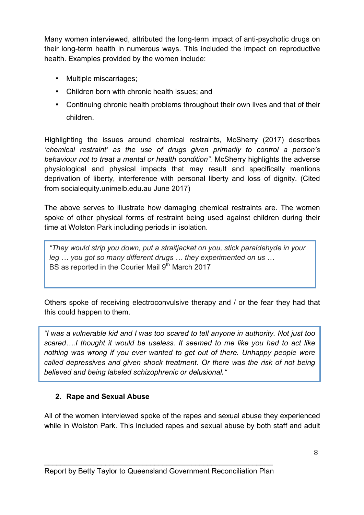Many women interviewed, attributed the long-term impact of anti-psychotic drugs on their long-term health in numerous ways. This included the impact on reproductive health. Examples provided by the women include:

- Multiple miscarriages;
- Children born with chronic health issues; and
- Continuing chronic health problems throughout their own lives and that of their children.

Highlighting the issues around chemical restraints, McSherry (2017) describes *'chemical restraint' as the use of drugs given primarily to control a person's behaviour not to treat a mental or health condition".* McSherry highlights the adverse physiological and physical impacts that may result and specifically mentions deprivation of liberty, interference with personal liberty and loss of dignity. (Cited from socialequity.unimelb.edu.au June 2017)

The above serves to illustrate how damaging chemical restraints are. The women spoke of other physical forms of restraint being used against children during their time at Wolston Park including periods in isolation.

*"They would strip you down, put a straitjacket on you, stick paraldehyde in your leg … you got so many different drugs … they experimented on us …* BS as reported in the Courier Mail 9<sup>th</sup> March 2017

Others spoke of receiving electroconvulsive therapy and / or the fear they had that this could happen to them.

*"I was a vulnerable kid and I was too scared to tell anyone in authority. Not just too scared….I thought it would be useless. It seemed to me like you had to act like*  nothing was wrong if you ever wanted to get out of there. Unhappy people were *called depressives and given shock treatment. Or there was the risk of not being believed and being labeled schizophrenic or delusional*. "

#### **2. Rape and Sexual Abuse**

All of the women interviewed spoke of the rapes and sexual abuse they experienced while in Wolston Park. This included rapes and sexual abuse by both staff and adult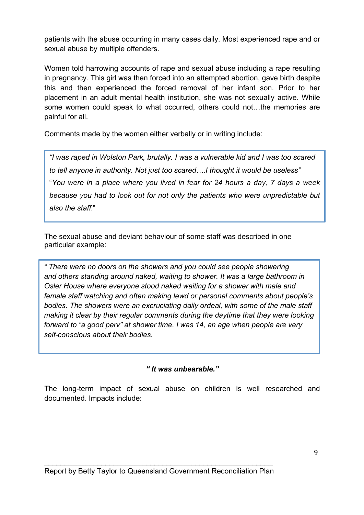patients with the abuse occurring in many cases daily. Most experienced rape and or sexual abuse by multiple offenders.

Women told harrowing accounts of rape and sexual abuse including a rape resulting in pregnancy. This girl was then forced into an attempted abortion, gave birth despite this and then experienced the forced removal of her infant son. Prior to her placement in an adult mental health institution, she was not sexually active. While some women could speak to what occurred, others could not…the memories are painful for all.

Comments made by the women either verbally or in writing include:

*"I was raped in Wolston Park, brutally. I was a vulnerable kid and I was too scared to tell anyone in authority. Not just too scared….I thought it would be useless"*  "*You were in a place where you lived in fear for 24 hours a day, 7 days a week because you had to look out for not only the patients who were unpredictable but also the staff*."

The sexual abuse and deviant behaviour of some staff was described in one particular example:

*" There were no doors on the showers and you could see people showering and others standing around naked, waiting to shower. It was a large bathroom in Osler House where everyone stood naked waiting for a shower with male and female staff watching and often making lewd or personal comments about people's bodies. The showers were an excruciating daily ordeal, with some of the male staff making it clear by their regular comments during the daytime that they were looking forward to "a good perv" at shower time. I was 14, an age when people are very self-conscious about their bodies.* 

*" It was unbearable."* 

The long-term impact of sexual abuse on children is well researched and documented. Impacts include: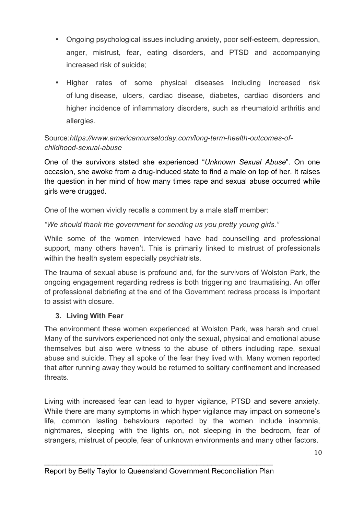- Ongoing psychological issues including anxiety, poor self-esteem, depression, anger, mistrust, fear, eating disorders, and PTSD and accompanying increased risk of suicide;
- Higher rates of some physical diseases including increased risk of lung disease, ulcers, cardiac disease, diabetes, cardiac disorders and higher incidence of inflammatory disorders, such as rheumatoid arthritis and allergies.

#### Source:*https://www.americannursetoday.com/long-term-health-outcomes-ofchildhood-sexual-abuse*

One of the survivors stated she experienced "*Unknown Sexual Abuse*". On one occasion, she awoke from a drug-induced state to find a male on top of her. It raises the question in her mind of how many times rape and sexual abuse occurred while girls were drugged.

One of the women vividly recalls a comment by a male staff member:

#### *"We should thank the government for sending us you pretty young girls."*

While some of the women interviewed have had counselling and professional support, many others haven't. This is primarily linked to mistrust of professionals within the health system especially psychiatrists.

The trauma of sexual abuse is profound and, for the survivors of Wolston Park, the ongoing engagement regarding redress is both triggering and traumatising. An offer of professional debriefing at the end of the Government redress process is important to assist with closure.

#### **3. Living With Fear**

The environment these women experienced at Wolston Park, was harsh and cruel. Many of the survivors experienced not only the sexual, physical and emotional abuse themselves but also were witness to the abuse of others including rape, sexual abuse and suicide. They all spoke of the fear they lived with. Many women reported that after running away they would be returned to solitary confinement and increased threats.

Living with increased fear can lead to hyper vigilance, PTSD and severe anxiety. While there are many symptoms in which hyper vigilance may impact on someone's life, common lasting behaviours reported by the women include insomnia, nightmares, sleeping with the lights on, not sleeping in the bedroom, fear of strangers, mistrust of people, fear of unknown environments and many other factors.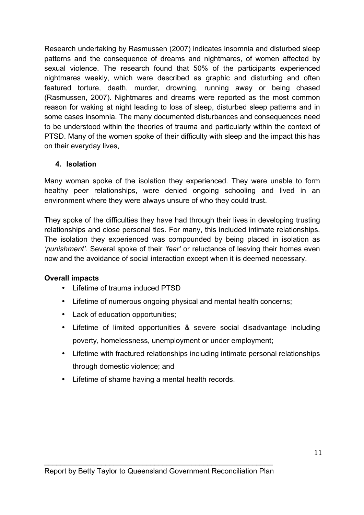Research undertaking by Rasmussen (2007) indicates insomnia and disturbed sleep patterns and the consequence of dreams and nightmares, of women affected by sexual violence. The research found that 50% of the participants experienced nightmares weekly, which were described as graphic and disturbing and often featured torture, death, murder, drowning, running away or being chased (Rasmussen, 2007). Nightmares and dreams were reported as the most common reason for waking at night leading to loss of sleep, disturbed sleep patterns and in some cases insomnia. The many documented disturbances and consequences need to be understood within the theories of trauma and particularly within the context of PTSD. Many of the women spoke of their difficulty with sleep and the impact this has on their everyday lives,

#### **4. Isolation**

Many woman spoke of the isolation they experienced. They were unable to form healthy peer relationships, were denied ongoing schooling and lived in an environment where they were always unsure of who they could trust.

They spoke of the difficulties they have had through their lives in developing trusting relationships and close personal ties. For many, this included intimate relationships. The isolation they experienced was compounded by being placed in isolation as *'punishment'*. Several spoke of their *'fear'* or reluctance of leaving their homes even now and the avoidance of social interaction except when it is deemed necessary.

#### **Overall impacts**

- Lifetime of trauma induced PTSD
- Lifetime of numerous ongoing physical and mental health concerns;
- Lack of education opportunities;
- Lifetime of limited opportunities & severe social disadvantage including poverty, homelessness, unemployment or under employment;
- Lifetime with fractured relationships including intimate personal relationships through domestic violence; and
- Lifetime of shame having a mental health records.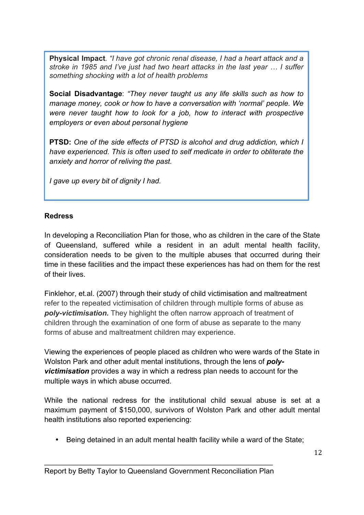**Physical Impact***. "I have got chronic renal disease, I had a heart attack and a stroke in 1985 and I've just had two heart attacks in the last year … I suffer something shocking with a lot of health problems*

**Social Disadvantage**: *"They never taught us any life skills such as how to manage money, cook or how to have a conversation with 'normal' people. We were never taught how to look for a job, how to interact with prospective employers or even about personal hygiene*

**PTSD:** *One of the side effects of PTSD is alcohol and drug addiction, which I have experienced. This is often used to self medicate in order to obliterate the anxiety and horror of reliving the past.*

*I gave up every bit of dignity I had.*

#### **Redress**

In developing a Reconciliation Plan for those, who as children in the care of the State of Queensland, suffered while a resident in an adult mental health facility, consideration needs to be given to the multiple abuses that occurred during their time in these facilities and the impact these experiences has had on them for the rest of their lives.

Finklehor, et.al. (2007) through their study of child victimisation and maltreatment refer to the repeated victimisation of children through multiple forms of abuse as *poly-victimisation.* They highlight the often narrow approach of treatment of children through the examination of one form of abuse as separate to the many forms of abuse and maltreatment children may experience.

Viewing the experiences of people placed as children who were wards of the State in Wolston Park and other adult mental institutions, through the lens of *polyvictimisation* provides a way in which a redress plan needs to account for the multiple ways in which abuse occurred.

While the national redress for the institutional child sexual abuse is set at a maximum payment of \$150,000, survivors of Wolston Park and other adult mental health institutions also reported experiencing:

• Being detained in an adult mental health facility while a ward of the State;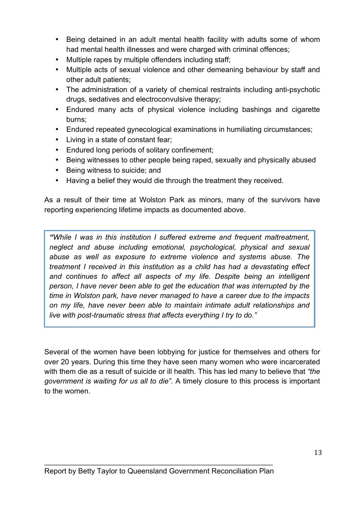- Being detained in an adult mental health facility with adults some of whom had mental health illnesses and were charged with criminal offences;
- Multiple rapes by multiple offenders including staff;
- Multiple acts of sexual violence and other demeaning behaviour by staff and other adult patients;
- The administration of a variety of chemical restraints including anti-psychotic drugs, sedatives and electroconvulsive therapy;
- Endured many acts of physical violence including bashings and cigarette burns;
- Endured repeated gynecological examinations in humiliating circumstances;
- Living in a state of constant fear;
- Endured long periods of solitary confinement;
- Being witnesses to other people being raped, sexually and physically abused
- Being witness to suicide; and
- Having a belief they would die through the treatment they received.

As a result of their time at Wolston Park as minors, many of the survivors have reporting experiencing lifetime impacts as documented above.

*"While I was in this institution I suffered extreme and frequent maltreatment, neglect and abuse including emotional, psychological, physical and sexual abuse as well as exposure to extreme violence and systems abuse. The treatment I received in this institution as a child has had a devastating effect*  and continues to affect all aspects of my life. Despite being an intelligent *person, I have never been able to get the education that was interrupted by the time in Wolston park, have never managed to have a career due to the impacts on my life, have never been able to maintain intimate adult relationships and live with post-traumatic stress that affects everything I try to do."*

Several of the women have been lobbying for justice for themselves and others for over 20 years. During this time they have seen many women who were incarcerated with them die as a result of suicide or ill health. This has led many to believe that *"the government is waiting for us all to die"*. A timely closure to this process is important to the women.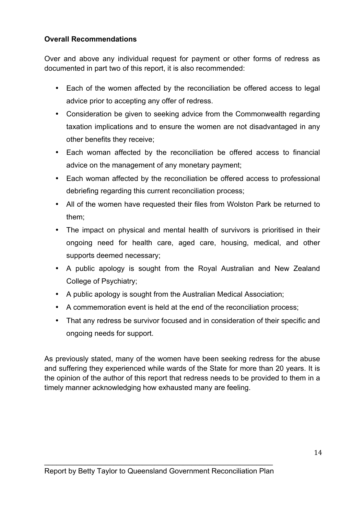#### **Overall Recommendations**

Over and above any individual request for payment or other forms of redress as documented in part two of this report, it is also recommended:

- Each of the women affected by the reconciliation be offered access to legal advice prior to accepting any offer of redress.
- Consideration be given to seeking advice from the Commonwealth regarding taxation implications and to ensure the women are not disadvantaged in any other benefits they receive;
- Each woman affected by the reconciliation be offered access to financial advice on the management of any monetary payment;
- Each woman affected by the reconciliation be offered access to professional debriefing regarding this current reconciliation process;
- All of the women have requested their files from Wolston Park be returned to them;
- The impact on physical and mental health of survivors is prioritised in their ongoing need for health care, aged care, housing, medical, and other supports deemed necessary;
- A public apology is sought from the Royal Australian and New Zealand College of Psychiatry;
- A public apology is sought from the Australian Medical Association;
- A commemoration event is held at the end of the reconciliation process;
- That any redress be survivor focused and in consideration of their specific and ongoing needs for support.

As previously stated, many of the women have been seeking redress for the abuse and suffering they experienced while wards of the State for more than 20 years. It is the opinion of the author of this report that redress needs to be provided to them in a timely manner acknowledging how exhausted many are feeling.